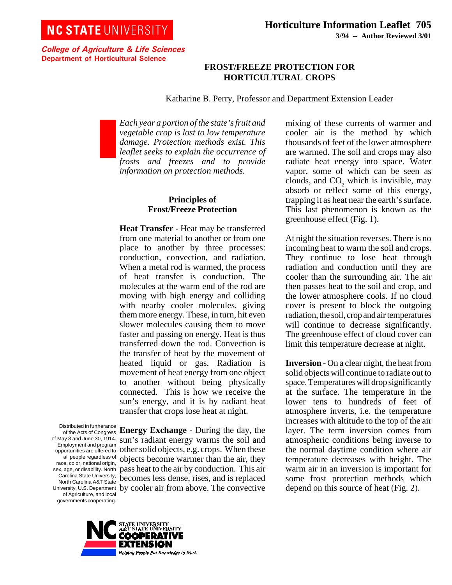College of Agriculture & Life Sciences Department of Horticultural Science

# **FROST/FREEZE PROTECTION FOR HORTICULTURAL CROPS**

Katharine B. Perry, Professor and Department Extension Leader

*Each year a portion of the state's fruit and vegetable crop is lost to low temperature damage. Protection methods exist. This leaflet seeks to explain the occurrence of frosts and freezes and to provide information on protection methods.*

## **Principles of Frost/Freeze Protection**

**Heat Transfer** - Heat may be transferred from one material to another or from one place to another by three processes: conduction, convection, and radiation. When a metal rod is warmed, the process of heat transfer is conduction. The molecules at the warm end of the rod are moving with high energy and colliding with nearby cooler molecules, giving them more energy. These, in turn, hit even slower molecules causing them to move faster and passing on energy. Heat is thus transferred down the rod. Convection is the transfer of heat by the movement of heated liquid or gas. Radiation is movement of heat energy from one object to another without being physically connected. This is how we receive the sun's energy, and it is by radiant heat transfer that crops lose heat at night.

Distributed in furtherance of the Acts of Congress Employment and program all people regardless of race, color, national origin, sex, age, or disability. North Carolina State University, North Carolina A&T State of Agriculture, and local governments cooperating.

of May 8 and June 30, 1914. sun's radiant energy warms the soil and opportunities are offered to other solid objects, e.g. crops. When these University, U.S. Department by cooler air from above. The convective **Energy Exchange** - During the day, the objects become warmer than the air, they pass heat to the air by conduction. This air becomes less dense, rises, and is replaced



mixing of these currents of warmer and cooler air is the method by which thousands of feet of the lower atmosphere are warmed. The soil and crops may also radiate heat energy into space. Water vapor, some of which can be seen as clouds, and  $CO<sub>2</sub>$  which is invisible, may absorb or reflect some of this energy, trapping it as heat near the earth's surface. This last phenomenon is known as the greenhouse effect (Fig. 1).

At night the situation reverses. There is no incoming heat to warm the soil and crops. They continue to lose heat through radiation and conduction until they are cooler than the surrounding air. The air then passes heat to the soil and crop, and the lower atmosphere cools. If no cloud cover is present to block the outgoing radiation, the soil, crop and air temperatures will continue to decrease significantly. The greenhouse effect of cloud cover can limit this temperature decrease at night.

**Inversion** - On a clear night, the heat from solid objects will continue to radiate out to space. Temperatures will drop significantly at the surface. The temperature in the lower tens to hundreds of feet of atmosphere inverts, i.e. the temperature increases with altitude to the top of the air layer. The term inversion comes from atmospheric conditions being inverse to the normal daytime condition where air temperature decreases with height. The warm air in an inversion is important for some frost protection methods which depend on this source of heat (Fig. 2).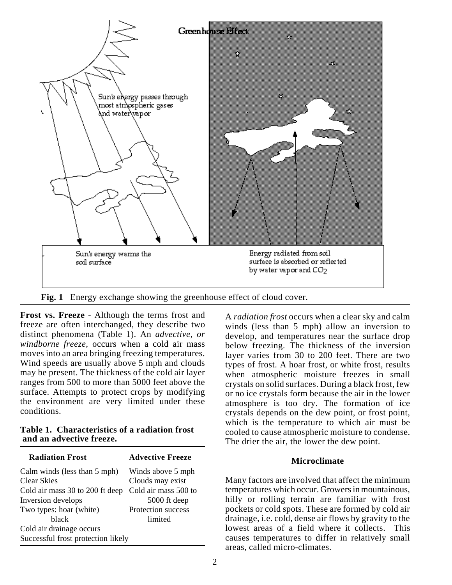

**Fig. 1** Energy exchange showing the greenhouse effect of cloud cover.

**Frost vs. Freeze** - Although the terms frost and freeze are often interchanged, they describe two distinct phenomena (Table 1). An *advective, or windborne freeze,* occurs when a cold air mass moves into an area bringing freezing temperatures. Wind speeds are usually above 5 mph and clouds may be present. The thickness of the cold air layer ranges from 500 to more than 5000 feet above the surface. Attempts to protect crops by modifying the environment are very limited under these conditions.

### **Table 1. Characteristics of a radiation frost and an advective freeze.**

| <b>Radiation Frost</b>             | <b>Advective Freeze</b> |  |  |
|------------------------------------|-------------------------|--|--|
| Calm winds (less than 5 mph)       | Winds above 5 mph       |  |  |
| <b>Clear Skies</b>                 | Clouds may exist        |  |  |
| Cold air mass 30 to 200 ft deep    | Cold air mass 500 to    |  |  |
| Inversion develops                 | 5000 ft deep            |  |  |
| Two types: hoar (white)            | Protection success      |  |  |
| black                              | limited                 |  |  |
| Cold air drainage occurs           |                         |  |  |
| Successful frost protection likely |                         |  |  |

A *radiation frost* occurs when a clear sky and calm winds (less than 5 mph) allow an inversion to develop, and temperatures near the surface drop below freezing. The thickness of the inversion layer varies from 30 to 200 feet. There are two types of frost. A hoar frost, or white frost, results when atmospheric moisture freezes in small crystals on solid surfaces. During a black frost, few or no ice crystals form because the air in the lower atmosphere is too dry. The formation of ice crystals depends on the dew point, or frost point, which is the temperature to which air must be cooled to cause atmospheric moisture to condense. The drier the air, the lower the dew point.

# **Microclimate**

Many factors are involved that affect the minimum temperatures which occur. Growers in mountainous, hilly or rolling terrain are familiar with frost pockets or cold spots. These are formed by cold air drainage, i.e. cold, dense air flows by gravity to the lowest areas of a field where it collects. This causes temperatures to differ in relatively small areas, called micro-climates.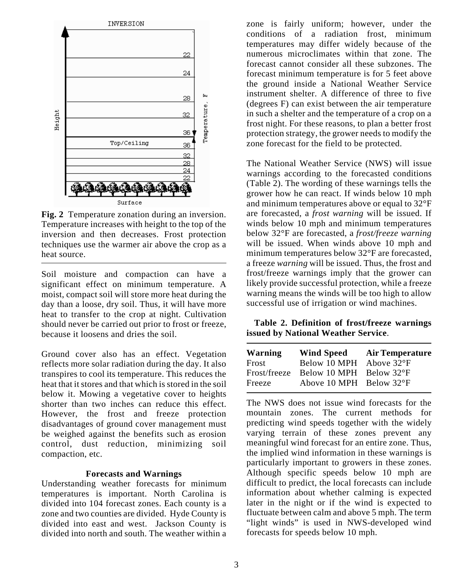

**Fig. 2** Temperature zonation during an inversion. Temperature increases with height to the top of the inversion and then decreases. Frost protection techniques use the warmer air above the crop as a heat source.

Soil moisture and compaction can have a significant effect on minimum temperature. A moist, compact soil will store more heat during the day than a loose, dry soil. Thus, it will have more heat to transfer to the crop at night. Cultivation should never be carried out prior to frost or freeze, because it loosens and dries the soil.

Ground cover also has an effect. Vegetation reflects more solar radiation during the day. It also transpires to cool its temperature. This reduces the heat that it stores and that which is stored in the soil below it. Mowing a vegetative cover to heights shorter than two inches can reduce this effect. However, the frost and freeze protection disadvantages of ground cover management must be weighed against the benefits such as erosion control, dust reduction, minimizing soil compaction, etc.

#### **Forecasts and Warnings**

Understanding weather forecasts for minimum temperatures is important. North Carolina is divided into 104 forecast zones. Each county is a zone and two counties are divided. Hyde County is divided into east and west. Jackson County is divided into north and south. The weather within a zone is fairly uniform; however, under the conditions of a radiation frost, minimum temperatures may differ widely because of the numerous microclimates within that zone. The forecast cannot consider all these subzones. The forecast minimum temperature is for 5 feet above the ground inside a National Weather Service instrument shelter. A difference of three to five (degrees F) can exist between the air temperature in such a shelter and the temperature of a crop on a frost night. For these reasons, to plan a better frost protection strategy, the grower needs to modify the zone forecast for the field to be protected.

The National Weather Service (NWS) will issue warnings according to the forecasted conditions (Table 2). The wording of these warnings tells the grower how he can react. If winds below 10 mph and minimum temperatures above or equal to 32°F are forecasted, a *frost warning* will be issued. If winds below 10 mph and minimum temperatures below 32°F are forecasted, a *frost/freeze warning* will be issued. When winds above 10 mph and minimum temperatures below 32°F are forecasted, a freeze *warning* will be issued. Thus, the frost and frost/freeze warnings imply that the grower can likely provide successful protection, while a freeze warning means the winds will be too high to allow successful use of irrigation or wind machines.

## **Table 2. Definition of frost/freeze warnings issued by National Weather Service**.

| <b>Warning</b> | <b>Wind Speed</b>                | <b>Air Temperature</b> |
|----------------|----------------------------------|------------------------|
| Frost          | Below 10 MPH Above 32°F          |                        |
| Frost/freeze   | Below 10 MPH Below 32°F          |                        |
| Freeze         | Above 10 MPH Below $32^{\circ}F$ |                        |

The NWS does not issue wind forecasts for the mountain zones. The current methods for predicting wind speeds together with the widely varying terrain of these zones prevent any meaningful wind forecast for an entire zone. Thus, the implied wind information in these warnings is particularly important to growers in these zones. Although specific speeds below 10 mph are difficult to predict, the local forecasts can include information about whether calming is expected later in the night or if the wind is expected to fluctuate between calm and above 5 mph. The term "light winds" is used in NWS-developed wind forecasts for speeds below 10 mph.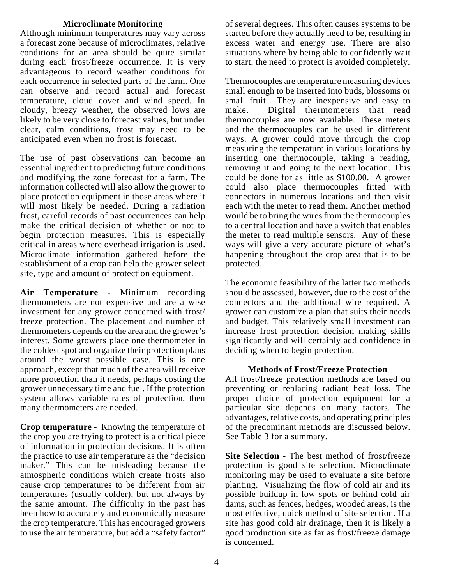## **Microclimate Monitoring**

Although minimum temperatures may vary across a forecast zone because of microclimates, relative conditions for an area should be quite similar during each frost/freeze occurrence. It is very advantageous to record weather conditions for each occurrence in selected parts of the farm. One can observe and record actual and forecast temperature, cloud cover and wind speed. In cloudy, breezy weather, the observed lows are likely to be very close to forecast values, but under clear, calm conditions, frost may need to be anticipated even when no frost is forecast.

The use of past observations can become an essential ingredient to predicting future conditions and modifying the zone forecast for a farm. The information collected will also allow the grower to place protection equipment in those areas where it will most likely be needed. During a radiation frost, careful records of past occurrences can help make the critical decision of whether or not to begin protection measures. This is especially critical in areas where overhead irrigation is used. Microclimate information gathered before the establishment of a crop can help the grower select site, type and amount of protection equipment.

**Air Temperature** - Minimum recording thermometers are not expensive and are a wise investment for any grower concerned with frost/ freeze protection. The placement and number of thermometers depends on the area and the grower's interest. Some growers place one thermometer in the coldest spot and organize their protection plans around the worst possible case. This is one approach, except that much of the area will receive more protection than it needs, perhaps costing the grower unnecessary time and fuel. If the protection system allows variable rates of protection, then many thermometers are needed.

**Crop temperature -** Knowing the temperature of the crop you are trying to protect is a critical piece of information in protection decisions. It is often the practice to use air temperature as the "decision maker." This can be misleading because the atmospheric conditions which create frosts also cause crop temperatures to be different from air temperatures (usually colder), but not always by the same amount. The difficulty in the past has been how to accurately and economically measure the crop temperature. This has encouraged growers to use the air temperature, but add a "safety factor"

of several degrees. This often causes systems to be started before they actually need to be, resulting in excess water and energy use. There are also situations where by being able to confidently wait to start, the need to protect is avoided completely.

Thermocouples are temperature measuring devices small enough to be inserted into buds, blossoms or small fruit. They are inexpensive and easy to make. Digital thermometers that read thermocouples are now available. These meters and the thermocouples can be used in different ways. A grower could move through the crop measuring the temperature in various locations by inserting one thermocouple, taking a reading, removing it and going to the next location. This could be done for as little as \$100.00. A grower could also place thermocouples fitted with connectors in numerous locations and then visit each with the meter to read them. Another method would be to bring the wires from the thermocouples to a central location and have a switch that enables the meter to read multiple sensors. Any of these ways will give a very accurate picture of what's happening throughout the crop area that is to be protected.

The economic feasibility of the latter two methods should be assessed, however, due to the cost of the connectors and the additional wire required. A grower can customize a plan that suits their needs and budget. This relatively small investment can increase frost protection decision making skills significantly and will certainly add confidence in deciding when to begin protection.

### **Methods of Frost/Freeze Protection**

All frost/freeze protection methods are based on preventing or replacing radiant heat loss. The proper choice of protection equipment for a particular site depends on many factors. The advantages, relative costs, and operating principles of the predominant methods are discussed below. See Table 3 for a summary.

**Site Selection - The best method of frost/freeze** protection is good site selection. Microclimate monitoring may be used to evaluate a site before planting. Visualizing the flow of cold air and its possible buildup in low spots or behind cold air dams, such as fences, hedges, wooded areas, is the most effective, quick method of site selection. If a site has good cold air drainage, then it is likely a good production site as far as frost/freeze damage is concerned.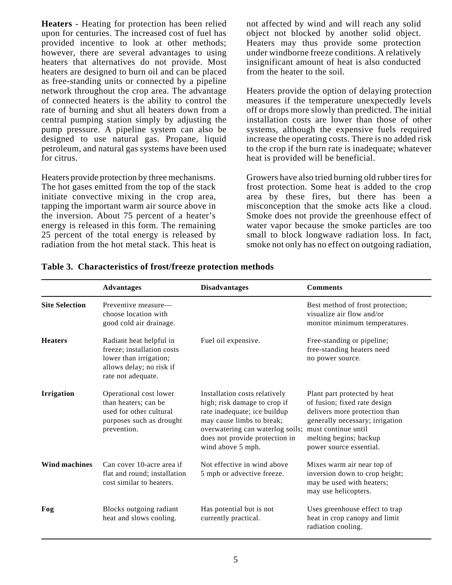**Heaters** - Heating for protection has been relied upon for centuries. The increased cost of fuel has provided incentive to look at other methods; however, there are several advantages to using heaters that alternatives do not provide. Most heaters are designed to burn oil and can be placed as free-standing units or connected by a pipeline network throughout the crop area. The advantage of connected heaters is the ability to control the rate of burning and shut all heaters down from a central pumping station simply by adjusting the pump pressure. A pipeline system can also be designed to use natural gas. Propane, liquid petroleum, and natural gas systems have been used for citrus.

Heaters provide protection by three mechanisms. The hot gases emitted from the top of the stack initiate convective mixing in the crop area, tapping the important warm air source above in the inversion. About 75 percent of a heater's energy is released in this form. The remaining 25 percent of the total energy is released by radiation from the hot metal stack. This heat is

not affected by wind and will reach any solid object not blocked by another solid object. Heaters may thus provide some protection under windborne freeze conditions. A relatively insignificant amount of heat is also conducted from the heater to the soil.

Heaters provide the option of delaying protection measures if the temperature unexpectedly levels off or drops more slowly than predicted. The initial installation costs are lower than those of other systems, although the expensive fuels required increase the operating costs. There is no added risk to the crop if the burn rate is inadequate; whatever heat is provided will be beneficial.

Growers have also tried burning old rubber tires for frost protection. Some heat is added to the crop area by these fires, but there has been a misconception that the smoke acts like a cloud. Smoke does not provide the greenhouse effect of water vapor because the smoke particles are too small to block longwave radiation loss. In fact, smoke not only has no effect on outgoing radiation,

|                       | <b>Advantages</b>                                                                                                                 | <b>Disadvantages</b>                                                                                                                                                                                                                      | <b>Comments</b>                                                                                                                                                                       |
|-----------------------|-----------------------------------------------------------------------------------------------------------------------------------|-------------------------------------------------------------------------------------------------------------------------------------------------------------------------------------------------------------------------------------------|---------------------------------------------------------------------------------------------------------------------------------------------------------------------------------------|
| <b>Site Selection</b> | Preventive measure—<br>choose location with<br>good cold air drainage.                                                            |                                                                                                                                                                                                                                           | Best method of frost protection;<br>visualize air flow and/or<br>monitor minimum temperatures.                                                                                        |
| <b>Heaters</b>        | Radiant heat helpful in<br>freeze; installation costs<br>lower than irrigation;<br>allows delay; no risk if<br>rate not adequate. | Fuel oil expensive.                                                                                                                                                                                                                       | Free-standing or pipeline;<br>free-standing heaters need<br>no power source.                                                                                                          |
| <b>Irrigation</b>     | Operational cost lower<br>than heaters; can be<br>used for other cultural<br>purposes such as drought<br>prevention.              | Installation costs relatively<br>high; risk damage to crop if<br>rate inadequate; ice buildup<br>may cause limbs to break;<br>overwatering can waterlog soils; must continue until<br>does not provide protection in<br>wind above 5 mph. | Plant part protected by heat<br>of fusion; fixed rate design<br>delivers more protection than<br>generally necessary; irrigation<br>melting begins; backup<br>power source essential. |
| Wind machines         | Can cover 10-acre area if<br>flat and round; installation<br>cost similar to heaters.                                             | Not effective in wind above<br>5 mph or advective freeze.                                                                                                                                                                                 | Mixes warm air near top of<br>inversion down to crop height;<br>may be used with heaters;<br>may use helicopters.                                                                     |
| Fog                   | Blocks outgoing radiant<br>heat and slows cooling.                                                                                | Has potential but is not<br>currently practical.                                                                                                                                                                                          | Uses greenhouse effect to trap<br>heat in crop canopy and limit<br>radiation cooling.                                                                                                 |

**Table 3. Characteristics of frost/freeze protection methods**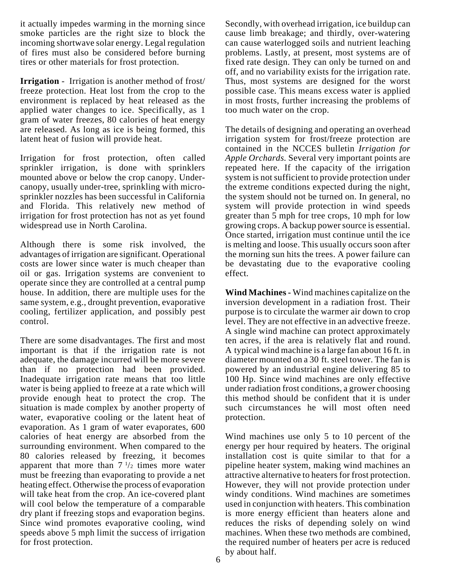it actually impedes warming in the morning since smoke particles are the right size to block the incoming shortwave solar energy. Legal regulation of fires must also be considered before burning tires or other materials for frost protection.

**Irrigation** - Irrigation is another method of frost/ freeze protection. Heat lost from the crop to the environment is replaced by heat released as the applied water changes to ice. Specifically, as 1 gram of water freezes, 80 calories of heat energy are released. As long as ice is being formed, this latent heat of fusion will provide heat.

Irrigation for frost protection, often called sprinkler irrigation, is done with sprinklers mounted above or below the crop canopy. Undercanopy, usually under-tree, sprinkling with microsprinkler nozzles has been successful in California and Florida. This relatively new method of irrigation for frost protection has not as yet found widespread use in North Carolina.

Although there is some risk involved, the advantages of irrigation are significant. Operational costs are lower since water is much cheaper than oil or gas. Irrigation systems are convenient to operate since they are controlled at a central pump house. In addition, there are multiple uses for the same system, e.g., drought prevention, evaporative cooling, fertilizer application, and possibly pest control.

There are some disadvantages. The first and most important is that if the irrigation rate is not adequate, the damage incurred will be more severe than if no protection had been provided. Inadequate irrigation rate means that too little water is being applied to freeze at a rate which will provide enough heat to protect the crop. The situation is made complex by another property of water, evaporative cooling or the latent heat of evaporation. As 1 gram of water evaporates, 600 calories of heat energy are absorbed from the surrounding environment. When compared to the 80 calories released by freezing, it becomes apparent that more than  $7\frac{1}{2}$  times more water must be freezing than evaporating to provide a net heating effect. Otherwise the process of evaporation will take heat from the crop. An ice-covered plant will cool below the temperature of a comparable dry plant if freezing stops and evaporation begins. Since wind promotes evaporative cooling, wind speeds above 5 mph limit the success of irrigation for frost protection.

Secondly, with overhead irrigation, ice buildup can cause limb breakage; and thirdly, over-watering can cause waterlogged soils and nutrient leaching problems. Lastly, at present, most systems are of fixed rate design. They can only be turned on and off, and no variability exists for the irrigation rate. Thus, most systems are designed for the worst possible case. This means excess water is applied in most frosts, further increasing the problems of too much water on the crop.

The details of designing and operating an overhead irrigation system for frost/freeze protection are contained in the NCCES bulletin *Irrigation for Apple Orchards.* Several very important points are repeated here. If the capacity of the irrigation system is not sufficient to provide protection under the extreme conditions expected during the night, the system should not be turned on. In general, no system will provide protection in wind speeds greater than 5 mph for tree crops, 10 mph for low growing crops. A backup power source is essential. Once started, irrigation must continue until the ice is melting and loose. This usually occurs soon after the morning sun hits the trees. A power failure can be devastating due to the evaporative cooling effect.

**Wind Machines -** Wind machines capitalize on the inversion development in a radiation frost. Their purpose is to circulate the warmer air down to crop level. They are not effective in an advective freeze. A single wind machine can protect approximately ten acres, if the area is relatively flat and round. A typical wind machine is a large fan about 16 ft. in diameter mounted on a 30 ft. steel tower. The fan is powered by an industrial engine delivering 85 to 100 Hp. Since wind machines are only effective under radiation frost conditions, a grower choosing this method should be confident that it is under such circumstances he will most often need protection.

Wind machines use only 5 to 10 percent of the energy per hour required by heaters. The original installation cost is quite similar to that for a pipeline heater system, making wind machines an attractive alternative to heaters for frost protection. However, they will not provide protection under windy conditions. Wind machines are sometimes used in conjunction with heaters. This combination is more energy efficient than heaters alone and reduces the risks of depending solely on wind machines. When these two methods are combined, the required number of heaters per acre is reduced by about half.